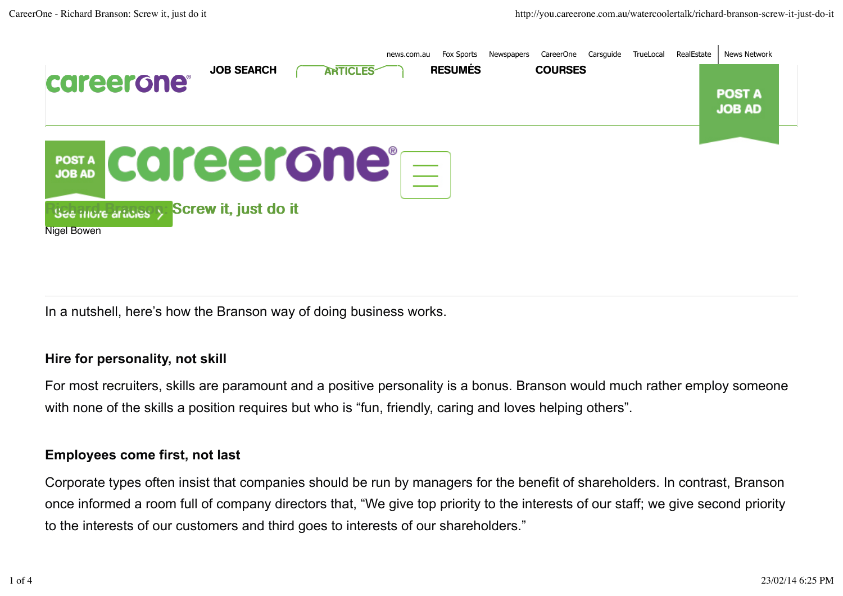

In a nutshell, here's how the Branson way of doing business works.

#### **Hire for personality, not skill**

For most recruiters, skills are paramount and a positive personality is a bonus. Branson would much rather employ someone with none of the skills a position requires but who is "fun, friendly, caring and loves helping others".

#### **Employees come first, not last**

Corporate types often insist that companies should be run by managers for the benefit of shareholders. In contrast, Branson once informed a room full of company directors that, "We give top priority to the interests of our staff; we give second priority to the interests of our customers and third goes to interests of our shareholders."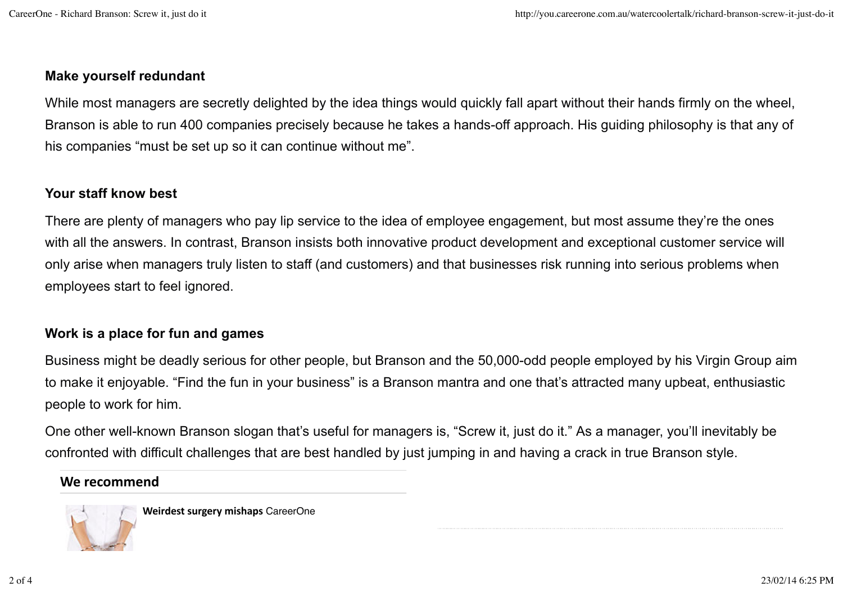## **Make yourself redundant**

While most managers are secretly delighted by the idea things would quickly fall apart without their hands firmly on the wheel, Branson is able to run 400 companies precisely because he takes a hands-off approach. His guiding philosophy is that any of his companies "must be set up so it can continue without me".

#### **Your staff know best**

There are plenty of managers who pay lip service to the idea of employee engagement, but most assume they're the ones with all the answers. In contrast, Branson insists both innovative product development and exceptional customer service will only arise when managers truly listen to staff (and customers) and that businesses risk running into serious problems when employees start to feel ignored.

## **Work is a place for fun and games**

Business might be deadly serious for other people, but Branson and the 50,000-odd people employed by his Virgin Group aim to make it enjoyable. "Find the fun in your business" is a Branson mantra and one that's attracted many upbeat, enthusiastic people to work for him.

One other well-known Branson slogan that's useful for managers is, "Screw it, just do it." As a manager, you'll inevitably be confronted with difficult challenges that are best handled by just jumping in and having a crack in true Branson style.

## We recommend



**Weirdest surgery mishaps** CareerOne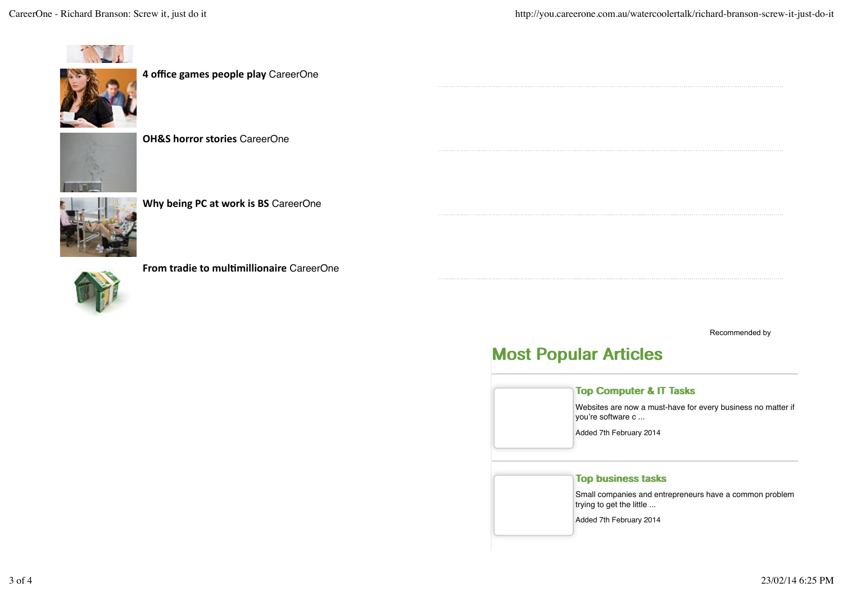



**4 office games people play** CareerOne





**Why being PC at work is BS** CareerOne

**From tradie to multimillionaire** CareerOne

Recommended by

# Most Popular Articles

#### Top Computer & IT Tasks

Websites are now a must-have for every business no matter if you're software c ...

Added 7th February 2014

#### Top business tasks

Small companies and entrepreneurs have a common problem trying to get the little ...

Added 7th February 2014